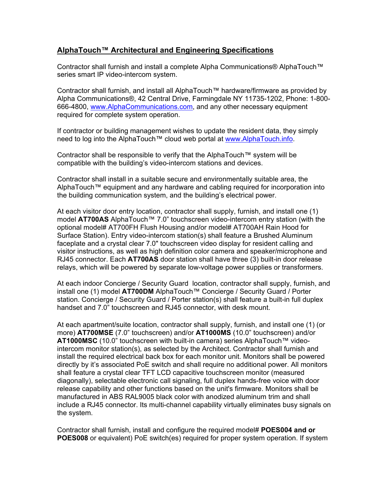# **AlphaTouch™ Architectural and Engineering Specifications**

Contractor shall furnish and install a complete Alpha Communications® AlphaTouch™ series smart IP video-intercom system.

Contractor shall furnish, and install all AlphaTouch™ hardware/firmware as provided by Alpha Communications®, 42 Central Drive, Farmingdale NY 11735-1202, Phone: 1-800- 666-4800, www.AlphaCommunications.com, and any other necessary equipment required for complete system operation.

If contractor or building management wishes to update the resident data, they simply need to log into the AlphaTouch™ cloud web portal at www.AlphaTouch.info.

Contractor shall be responsible to verify that the AlphaTouch™ system will be compatible with the building's video-intercom stations and devices.

Contractor shall install in a suitable secure and environmentally suitable area, the AlphaTouch™ equipment and any hardware and cabling required for incorporation into the building communication system, and the building's electrical power.

At each visitor door entry location, contractor shall supply, furnish, and install one (1) model **AT700AS** AlphaTouch™ 7.0" touchscreen video-intercom entry station (with the optional model# AT700FH Flush Housing and/or model# AT700AH Rain Hood for Surface Station). Entry video-intercom station(s) shall feature a Brushed Aluminum faceplate and a crystal clear 7.0" touchscreen video display for resident calling and visitor instructions, as well as high definition color camera and speaker/microphone and RJ45 connector. Each **AT700AS** door station shall have three (3) built-in door release relays, which will be powered by separate low-voltage power supplies or transformers.

At each indoor Concierge / Security Guard location, contractor shall supply, furnish, and install one (1) model **AT700DM** AlphaTouch™ Concierge / Security Guard / Porter station. Concierge / Security Guard / Porter station(s) shall feature a built-in full duplex handset and 7.0" touchscreen and RJ45 connector, with desk mount.

At each apartment/suite location, contractor shall supply, furnish, and install one (1) (or more) **AT700MSE** (7.0" touchscreen) and/or **AT1000MS** (10.0" touchscreen) and/or **AT1000MSC** (10.0" touchscreen with built-in camera) series AlphaTouch™ videointercom monitor station(s), as selected by the Architect. Contractor shall furnish and install the required electrical back box for each monitor unit. Monitors shall be powered directly by it's associated PoE switch and shall require no additional power. All monitors shall feature a crystal clear TFT LCD capacitive touchscreen monitor (measured diagonally), selectable electronic call signaling, full duplex hands-free voice with door release capability and other functions based on the unit's firmware. Monitors shall be manufactured in ABS RAL9005 black color with anodized aluminum trim and shall include a RJ45 connector. Its multi-channel capability virtually eliminates busy signals on the system.

Contractor shall furnish, install and configure the required model# **POES004 and or POES008** or equivalent) PoE switch(es) required for proper system operation. If system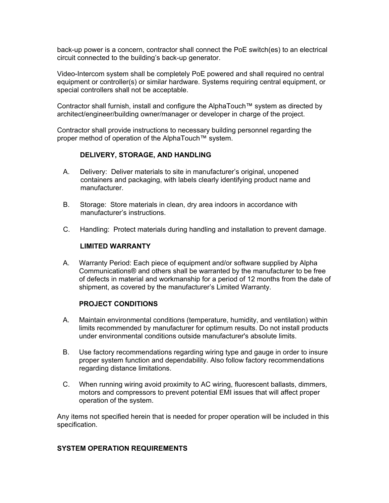back-up power is a concern, contractor shall connect the PoE switch(es) to an electrical circuit connected to the building's back-up generator.

Video-Intercom system shall be completely PoE powered and shall required no central equipment or controller(s) or similar hardware. Systems requiring central equipment, or special controllers shall not be acceptable.

Contractor shall furnish, install and configure the AlphaTouch™ system as directed by architect/engineer/building owner/manager or developer in charge of the project.

Contractor shall provide instructions to necessary building personnel regarding the proper method of operation of the AlphaTouch™ system.

## **DELIVERY, STORAGE, AND HANDLING**

- A. Delivery: Deliver materials to site in manufacturer's original, unopened containers and packaging, with labels clearly identifying product name and manufacturer.
- B. Storage: Store materials in clean, dry area indoors in accordance with manufacturer's instructions.
- C. Handling: Protect materials during handling and installation to prevent damage.

### **LIMITED WARRANTY**

 A. Warranty Period: Each piece of equipment and/or software supplied by Alpha Communications® and others shall be warranted by the manufacturer to be free of defects in material and workmanship for a period of 12 months from the date of shipment, as covered by the manufacturer's Limited Warranty.

### **PROJECT CONDITIONS**

- A. Maintain environmental conditions (temperature, humidity, and ventilation) within limits recommended by manufacturer for optimum results. Do not install products under environmental conditions outside manufacturer's absolute limits.
- B. Use factory recommendations regarding wiring type and gauge in order to insure proper system function and dependability. Also follow factory recommendations regarding distance limitations.
- C. When running wiring avoid proximity to AC wiring, fluorescent ballasts, dimmers, motors and compressors to prevent potential EMI issues that will affect proper operation of the system.

Any items not specified herein that is needed for proper operation will be included in this specification.

### **SYSTEM OPERATION REQUIREMENTS**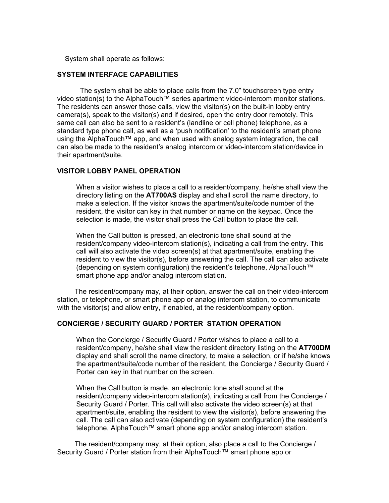System shall operate as follows:

#### **SYSTEM INTERFACE CAPABILITIES**

The system shall be able to place calls from the 7.0" touchscreen type entry video station(s) to the AlphaTouch™ series apartment video-intercom monitor stations. The residents can answer those calls, view the visitor(s) on the built-in lobby entry camera(s), speak to the visitor(s) and if desired, open the entry door remotely. This same call can also be sent to a resident's (landline or cell phone) telephone, as a standard type phone call, as well as a 'push notification' to the resident's smart phone using the AlphaTouch™ app, and when used with analog system integration, the call can also be made to the resident's analog intercom or video-intercom station/device in their apartment/suite.

#### **VISITOR LOBBY PANEL OPERATION**

When a visitor wishes to place a call to a resident/company, he/she shall view the directory listing on the **AT700AS** display and shall scroll the name directory, to make a selection. If the visitor knows the apartment/suite/code number of the resident, the visitor can key in that number or name on the keypad. Once the selection is made, the visitor shall press the Call button to place the call.

When the Call button is pressed, an electronic tone shall sound at the resident/company video-intercom station(s), indicating a call from the entry. This call will also activate the video screen(s) at that apartment/suite, enabling the resident to view the visitor(s), before answering the call. The call can also activate (depending on system configuration) the resident's telephone, AlphaTouch™ smart phone app and/or analog intercom station.

 The resident/company may, at their option, answer the call on their video-intercom station, or telephone, or smart phone app or analog intercom station, to communicate with the visitor(s) and allow entry, if enabled, at the resident/company option.

#### **CONCIERGE / SECURITY GUARD / PORTER STATION OPERATION**

When the Concierge / Security Guard / Porter wishes to place a call to a resident/company, he/she shall view the resident directory listing on the **AT700DM** display and shall scroll the name directory, to make a selection, or if he/she knows the apartment/suite/code number of the resident, the Concierge / Security Guard / Porter can key in that number on the screen.

When the Call button is made, an electronic tone shall sound at the resident/company video-intercom station(s), indicating a call from the Concierge / Security Guard / Porter. This call will also activate the video screen(s) at that apartment/suite, enabling the resident to view the visitor(s), before answering the call. The call can also activate (depending on system configuration) the resident's telephone, AlphaTouch™ smart phone app and/or analog intercom station.

 The resident/company may, at their option, also place a call to the Concierge / Security Guard / Porter station from their AlphaTouch™ smart phone app or